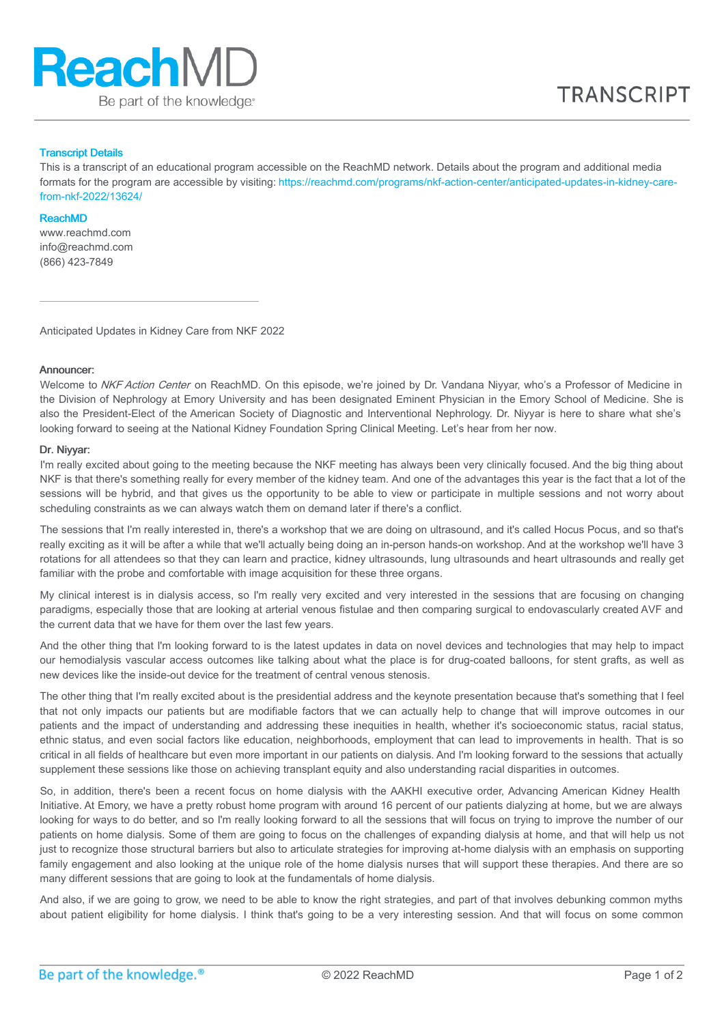

## Transcript Details

This is a transcript of an educational program accessible on the ReachMD network. Details about the program and additional media formats for the program are accessible by visiting: [https://reachmd.com/programs/nkf-action-center/anticipated-updates-in-kidney-care](https://reachmd.com/programs/nkf-action-center/anticipated-updates-in-kidney-care-from-nkf-2022/13624/)from-nkf-2022/13624/

#### ReachMD

www.reachmd.com info@reachmd.com (866) 423-7849

Anticipated Updates in Kidney Care from NKF 2022

## Announcer:

Welcome to NKF Action Center on ReachMD. On this episode, we're joined by Dr. Vandana Niyyar, who's a Professor of Medicine in the Division of Nephrology at Emory University and has been designated Eminent Physician in the Emory School of Medicine. She is also the President-Elect of the American Society of Diagnostic and Interventional Nephrology. Dr. Niyyar is here to share what she's looking forward to seeing at the National Kidney Foundation Spring Clinical Meeting. Let's hear from her now.

## Dr. Niyyar:

I'm really excited about going to the meeting because the NKF meeting has always been very clinically focused. And the big thing about NKF is that there's something really for every member of the kidney team. And one of the advantages this year is the fact that a lot of the sessions will be hybrid, and that gives us the opportunity to be able to view or participate in multiple sessions and not worry about scheduling constraints as we can always watch them on demand later if there's a conflict.

The sessions that I'm really interested in, there's a workshop that we are doing on ultrasound, and it's called Hocus Pocus, and so that's really exciting as it will be after a while that we'll actually being doing an in-person hands-on workshop. And at the workshop we'll have 3 rotations for all attendees so that they can learn and practice, kidney ultrasounds, lung ultrasounds and heart ultrasounds and really get familiar with the probe and comfortable with image acquisition for these three organs.

My clinical interest is in dialysis access, so I'm really very excited and very interested in the sessions that are focusing on changing paradigms, especially those that are looking at arterial venous fistulae and then comparing surgical to endovascularly created AVF and the current data that we have for them over the last few years.

And the other thing that I'm looking forward to is the latest updates in data on novel devices and technologies that may help to impact our hemodialysis vascular access outcomes like talking about what the place is for drug-coated balloons, for stent grafts, as well as new devices like the inside-out device for the treatment of central venous stenosis.

The other thing that I'm really excited about is the presidential address and the keynote presentation because that's something that I feel that not only impacts our patients but are modifiable factors that we can actually help to change that will improve outcomes in our patients and the impact of understanding and addressing these inequities in health, whether it's socioeconomic status, racial status, ethnic status, and even social factors like education, neighborhoods, employment that can lead to improvements in health. That is so critical in all fields of healthcare but even more important in our patients on dialysis. And I'm looking forward to the sessions that actually supplement these sessions like those on achieving transplant equity and also understanding racial disparities in outcomes.

So, in addition, there's been a recent focus on home dialysis with the AAKHI executive order, Advancing American Kidney Health Initiative. At Emory, we have a pretty robust home program with around 16 percent of our patients dialyzing at home, but we are always looking for ways to do better, and so I'm really looking forward to all the sessions that will focus on trying to improve the number of our patients on home dialysis. Some of them are going to focus on the challenges of expanding dialysis at home, and that will help us not just to recognize those structural barriers but also to articulate strategies for improving at-home dialysis with an emphasis on supporting family engagement and also looking at the unique role of the home dialysis nurses that will support these therapies. And there are so many different sessions that are going to look at the fundamentals of home dialysis.

And also, if we are going to grow, we need to be able to know the right strategies, and part of that involves debunking common myths about patient eligibility for home dialysis. I think that's going to be a very interesting session. And that will focus on some common